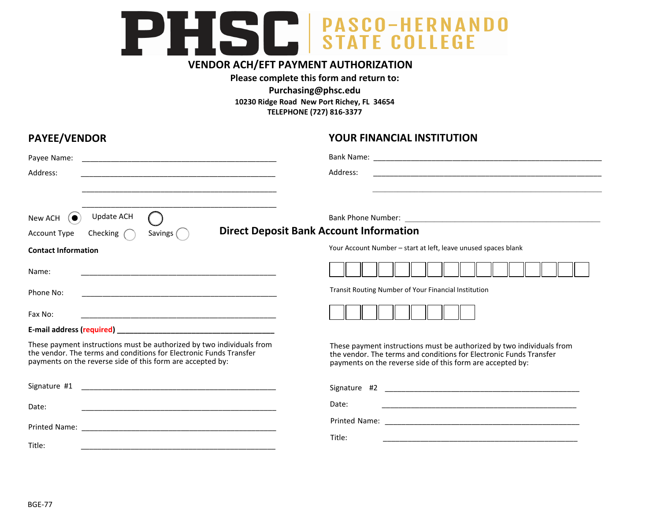## PHSC STATE COLLEGE

## **VENDOR ACH/EFT PAYMENT AUTHORIZATION**

### **Please complete this form and return to:**

**[Purchasing@phsc.edu](mailto: Purchasing@phsc.edu) 10230 Ridge Road New Port Richey, FL 34654 TELEPHONE (727) 816-3377**

| <b>PAYEE/VENDOR</b>                                                                                                                                                                                       | YOUR FINANCIAL INSTITUTION                                                                                                                                                                                |
|-----------------------------------------------------------------------------------------------------------------------------------------------------------------------------------------------------------|-----------------------------------------------------------------------------------------------------------------------------------------------------------------------------------------------------------|
| Payee Name:                                                                                                                                                                                               |                                                                                                                                                                                                           |
| Address:<br><u> 1980 - Johann Barbara, margaret eta biztanleria (h. 1980).</u>                                                                                                                            | Address:<br><u> 1989 - Johann John Harry, mars ar y brening ar y brening ar y brening ar y brening ar y brening ar y brening </u>                                                                         |
| Update ACH<br>New ACH<br>( O<br>Savings (<br>Checking $\bigcap$<br><b>Account Type</b>                                                                                                                    | <b>Direct Deposit Bank Account Information</b>                                                                                                                                                            |
| <b>Contact Information</b>                                                                                                                                                                                | Your Account Number - start at left, leave unused spaces blank                                                                                                                                            |
| Name:<br><u> 1989 - Johann Harry Harry Harry Harry Harry Harry Harry Harry Harry Harry Harry Harry Harry Harry Harry Harry</u>                                                                            |                                                                                                                                                                                                           |
| Phone No:<br><u> 1989 - Johann Harry Harry Harry Harry Harry Harry Harry Harry Harry Harry Harry Harry Harry Harry Harry Harry</u>                                                                        | Transit Routing Number of Your Financial Institution                                                                                                                                                      |
| Fax No:                                                                                                                                                                                                   |                                                                                                                                                                                                           |
|                                                                                                                                                                                                           |                                                                                                                                                                                                           |
| These payment instructions must be authorized by two individuals from<br>the vendor. The terms and conditions for Electronic Funds Transfer<br>payments on the reverse side of this form are accepted by: | These payment instructions must be authorized by two individuals from<br>the vendor. The terms and conditions for Electronic Funds Transfer<br>payments on the reverse side of this form are accepted by: |
|                                                                                                                                                                                                           |                                                                                                                                                                                                           |
| Date:                                                                                                                                                                                                     | Date:                                                                                                                                                                                                     |
|                                                                                                                                                                                                           |                                                                                                                                                                                                           |
| Title:                                                                                                                                                                                                    | Title:                                                                                                                                                                                                    |